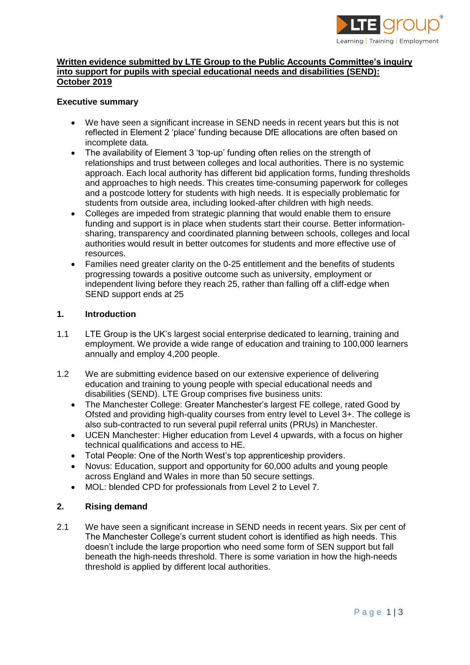

# **Written evidence submitted by LTE Group to the Public Accounts Committee's inquiry into support for pupils with special educational needs and disabilities (SEND): October 2019**

## **Executive summary**

- We have seen a significant increase in SEND needs in recent years but this is not reflected in Element 2 'place' funding because DfE allocations are often based on incomplete data.
- The availability of Element 3 'top-up' funding often relies on the strength of relationships and trust between colleges and local authorities. There is no systemic approach. Each local authority has different bid application forms, funding thresholds and approaches to high needs. This creates time-consuming paperwork for colleges and a postcode lottery for students with high needs. It is especially problematic for students from outside area, including looked-after children with high needs.
- Colleges are impeded from strategic planning that would enable them to ensure funding and support is in place when students start their course. Better informationsharing, transparency and coordinated planning between schools, colleges and local authorities would result in better outcomes for students and more effective use of resources.
- Families need greater clarity on the 0-25 entitlement and the benefits of students progressing towards a positive outcome such as university, employment or independent living before they reach 25, rather than falling off a cliff-edge when SEND support ends at 25

#### **1. Introduction**

- 1.1 LTE Group is the UK's largest social enterprise dedicated to learning, training and employment. We provide a wide range of education and training to 100,000 learners annually and employ 4,200 people.
- 1.2 We are submitting evidence based on our extensive experience of delivering education and training to young people with special educational needs and disabilities (SEND). LTE Group comprises five business units:
	- The Manchester College: Greater Manchester's largest FE college, rated Good by Ofsted and providing high-quality courses from entry level to Level 3+. The college is also sub-contracted to run several pupil referral units (PRUs) in Manchester.
	- UCEN Manchester: Higher education from Level 4 upwards, with a focus on higher technical qualifications and access to HE.
	- Total People: One of the North West's top apprenticeship providers.
	- Novus: Education, support and opportunity for 60,000 adults and young people across England and Wales in more than 50 secure settings.
	- MOL: blended CPD for professionals from Level 2 to Level 7.

# **2. Rising demand**

2.1 We have seen a significant increase in SEND needs in recent years. Six per cent of The Manchester College's current student cohort is identified as high needs. This doesn't include the large proportion who need some form of SEN support but fall beneath the high-needs threshold. There is some variation in how the high-needs threshold is applied by different local authorities.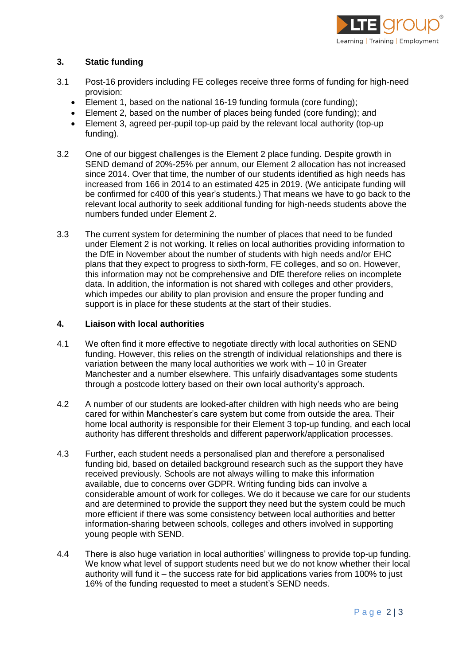

# **3. Static funding**

- 3.1 Post-16 providers including FE colleges receive three forms of funding for high-need provision:
	- Element 1, based on the national 16-19 funding formula (core funding);
	- Element 2, based on the number of places being funded (core funding); and
	- Element 3, agreed per-pupil top-up paid by the relevant local authority (top-up funding).
- 3.2 One of our biggest challenges is the Element 2 place funding. Despite growth in SEND demand of 20%-25% per annum, our Element 2 allocation has not increased since 2014. Over that time, the number of our students identified as high needs has increased from 166 in 2014 to an estimated 425 in 2019. (We anticipate funding will be confirmed for c400 of this year's students.) That means we have to go back to the relevant local authority to seek additional funding for high-needs students above the numbers funded under Element 2.
- 3.3 The current system for determining the number of places that need to be funded under Element 2 is not working. It relies on local authorities providing information to the DfE in November about the number of students with high needs and/or EHC plans that they expect to progress to sixth-form, FE colleges, and so on. However, this information may not be comprehensive and DfE therefore relies on incomplete data. In addition, the information is not shared with colleges and other providers, which impedes our ability to plan provision and ensure the proper funding and support is in place for these students at the start of their studies.

## **4. Liaison with local authorities**

- 4.1 We often find it more effective to negotiate directly with local authorities on SEND funding. However, this relies on the strength of individual relationships and there is variation between the many local authorities we work with – 10 in Greater Manchester and a number elsewhere. This unfairly disadvantages some students through a postcode lottery based on their own local authority's approach.
- 4.2 A number of our students are looked-after children with high needs who are being cared for within Manchester's care system but come from outside the area. Their home local authority is responsible for their Element 3 top-up funding, and each local authority has different thresholds and different paperwork/application processes.
- 4.3 Further, each student needs a personalised plan and therefore a personalised funding bid, based on detailed background research such as the support they have received previously. Schools are not always willing to make this information available, due to concerns over GDPR. Writing funding bids can involve a considerable amount of work for colleges. We do it because we care for our students and are determined to provide the support they need but the system could be much more efficient if there was some consistency between local authorities and better information-sharing between schools, colleges and others involved in supporting young people with SEND.
- 4.4 There is also huge variation in local authorities' willingness to provide top-up funding. We know what level of support students need but we do not know whether their local authority will fund it – the success rate for bid applications varies from 100% to just 16% of the funding requested to meet a student's SEND needs.